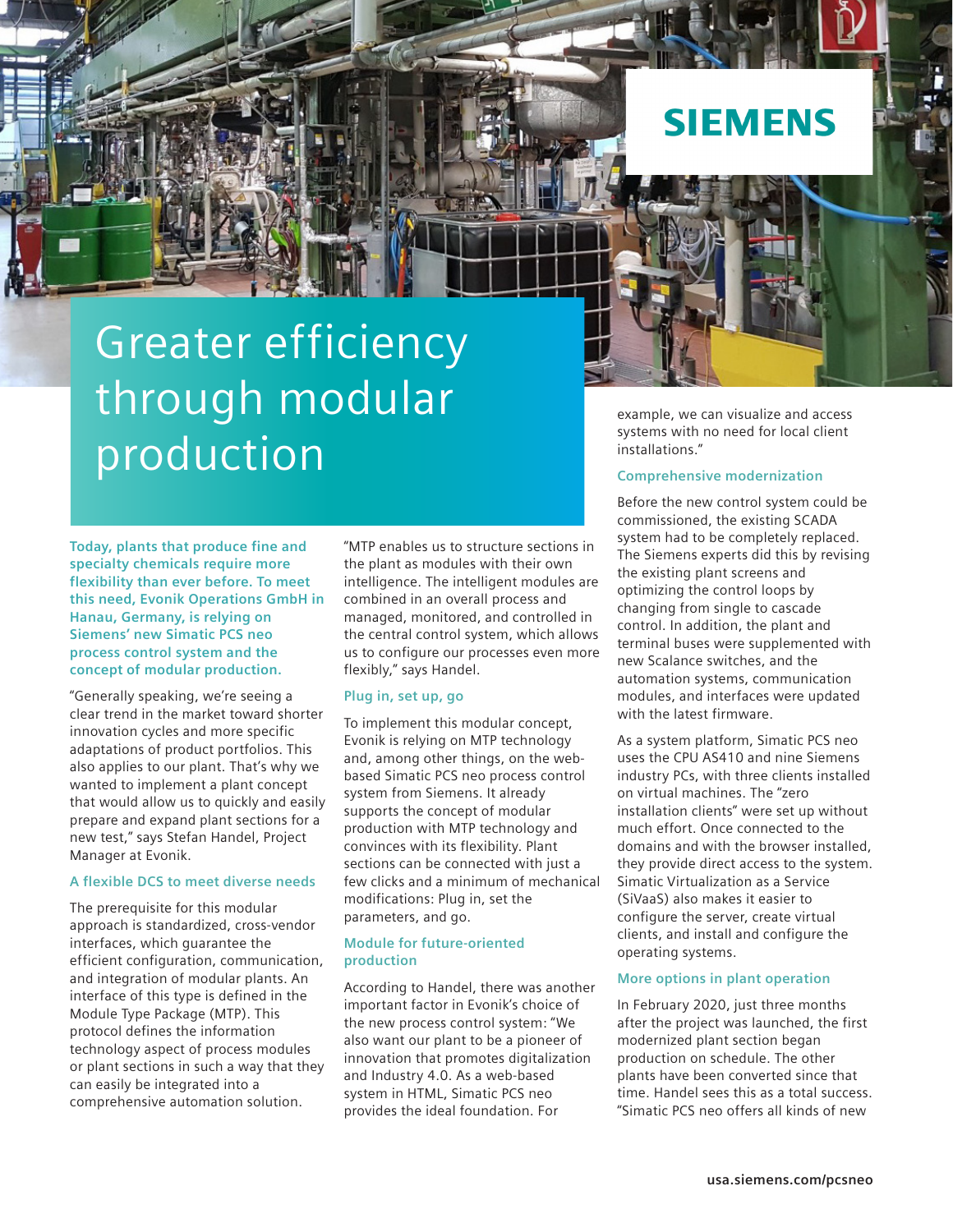

# Greater efficiency through modular production

**Today, plants that produce fine and specialty chemicals require more flexibility than ever before. To meet this need, Evonik Operations GmbH in Hanau, Germany, is relying on Siemens' new Simatic PCS neo process control system and the concept of modular production.**

"Generally speaking, we're seeing a clear trend in the market toward shorter innovation cycles and more specific adaptations of product portfolios. This also applies to our plant. That's why we wanted to implement a plant concept that would allow us to quickly and easily prepare and expand plant sections for a new test," says Stefan Handel, Project Manager at Evonik.

#### **A flexible DCS to meet diverse needs**

The prerequisite for this modular approach is standardized, cross-vendor interfaces, which guarantee the efficient configuration, communication, and integration of modular plants. An interface of this type is defined in the Module Type Package (MTP). This protocol defines the information technology aspect of process modules or plant sections in such a way that they can easily be integrated into a comprehensive automation solution.

"MTP enables us to structure sections in the plant as modules with their own intelligence. The intelligent modules are combined in an overall process and managed, monitored, and controlled in the central control system, which allows us to configure our processes even more flexibly," says Handel.

#### **Plug in, set up, go**

To implement this modular concept, Evonik is relying on MTP technology and, among other things, on the webbased Simatic PCS neo process control system from Siemens. It already supports the concept of modular production with MTP technology and convinces with its flexibility. Plant sections can be connected with just a few clicks and a minimum of mechanical modifications: Plug in, set the parameters, and go.

## **Module for future-oriented production**

According to Handel, there was another important factor in Evonik's choice of the new process control system: "We also want our plant to be a pioneer of innovation that promotes digitalization and Industry 4.0. As a web-based system in HTML, Simatic PCS neo provides the ideal foundation. For

example, we can visualize and access systems with no need for local client installations."

#### **Comprehensive modernization**

Before the new control system could be commissioned, the existing SCADA system had to be completely replaced. The Siemens experts did this by revising the existing plant screens and optimizing the control loops by changing from single to cascade control. In addition, the plant and terminal buses were supplemented with new Scalance switches, and the automation systems, communication modules, and interfaces were updated with the latest firmware.

As a system platform, Simatic PCS neo uses the CPU AS410 and nine Siemens industry PCs, with three clients installed on virtual machines. The "zero installation clients" were set up without much effort. Once connected to the domains and with the browser installed, they provide direct access to the system. Simatic Virtualization as a Service (SiVaaS) also makes it easier to configure the server, create virtual clients, and install and configure the operating systems.

# **More options in plant operation**

In February 2020, just three months after the project was launched, the first modernized plant section began production on schedule. The other plants have been converted since that time. Handel sees this as a total success. "Simatic PCS neo offers all kinds of new